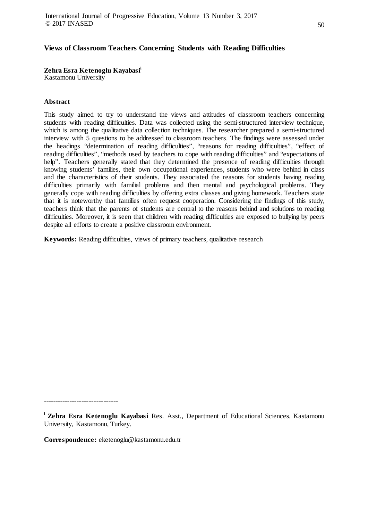**Zehra Esra Ketenoglu Kayabasii** Kastamonu University

### **Abstract**

This study aimed to try to understand the views and attitudes of classroom teachers concerning students with reading difficulties. Data was collected using the semi-structured interview technique, which is among the qualitative data collection techniques. The researcher prepared a semi-structured interview with 5 questions to be addressed to classroom teachers. The findings were assessed under the headings "determination of reading difficulties", "reasons for reading difficulties", "effect of reading difficulties", "methods used by teachers to cope with reading difficulties" and "expectations of help". Teachers generally stated that they determined the presence of reading difficulties through knowing students' families, their own occupational experiences, students who were behind in class and the characteristics of their students. They associated the reasons for students having reading difficulties primarily with familial problems and then mental and psychological problems. They generally cope with reading difficulties by offering extra classes and giving homework. Teachers state that it is noteworthy that families often request cooperation. Considering the findings of this study, teachers think that the parents of students are central to the reasons behind and solutions to reading difficulties. Moreover, it is seen that children with reading difficulties are exposed to bullying by peers despite all efforts to create a positive classroom environment.

**Keywords:** Reading difficulties, views of primary teachers, qualitative research

**-------------------------------**

**Correspondence:** eketenoglu@kastamonu.edu.tr

**i Zehra Esra Ketenoglu Kayabasi** Res. Asst., Department of Educational Sciences, Kastamonu University, Kastamonu, Turkey.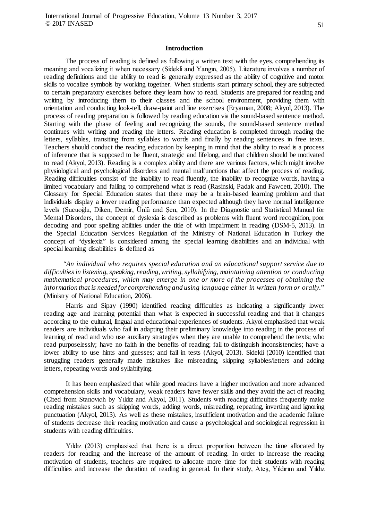#### **Introduction**

The process of reading is defined as following a written text with the eyes, comprehending its meaning and vocalizing it when necessary (Sidekli and Yangın, 2005). Literature involves a number of reading definitions and the ability to read is generally expressed as the ability of cognitive and motor skills to vocalize symbols by working together. When students start primary school, they are subjected to certain preparatory exercises before they learn how to read. Students are prepared for reading and writing by introducing them to their classes and the school environment, providing them with orientation and conducting look-tell, draw-paint and line exercises (Eryaman, 2008; Akyol, 2013). The process of reading preparation is followed by reading education via the sound-based sentence method. Starting with the phase of feeling and recognizing the sounds, the sound-based sentence method continues with writing and reading the letters. Reading education is completed through reading the letters, syllables, transiting from syllables to words and finally by reading sentences in free texts. Teachers should conduct the reading education by keeping in mind that the ability to read is a process of inference that is supposed to be fluent, strategic and lifelong, and that children should be motivated to read (Akyol, 2013). Reading is a complex ability and there are various factors, which might involve physiological and psychological disorders and mental malfunctions that affect the process of reading. Reading difficulties consist of the inability to read fluently, the inability to recognize words, having a limited vocabulary and failing to comprehend what is read (Rasinski, Padak and Fawcett, 2010). The Glossary for Special Education states that there may be a brain-based learning problem and that individuals display a lower reading performance than expected although they have normal intelligence levels (Sucuoğlu, Diken, Demir, Ünlü and Şen, 2010). In the Diagnostic and Statistical Manual for Mental Disorders, the concept of dyslexia is described as problems with fluent word recognition, poor decoding and poor spelling abilities under the title of with impairment in reading (DSM-5, 2013). In the Special Education Services Regulation of the Ministry of National Education in Turkey the concept of "dyslexia" is considered among the special learning disabilities and an individual with special learning disabilities is defined as

"*An individual who requires special education and an educational support service due to difficulties in listening, speaking, reading, writing, syllabifying, maintaining attention or conducting mathematical procedures, which may emerge in one or more of the processes of obtaining the information that is needed for comprehending and using language either in written form or orally.*" (Ministry of National Education, 2006).

Harris and Sipay (1990) identified reading difficulties as indicating a significantly lower reading age and learning potential than what is expected in successful reading and that it changes according to the cultural, lingual and educational experiences of students. Akyol emphasised that weak readers are individuals who fail in adapting their preliminary knowledge into reading in the process of learning of read and who use auxiliary strategies when they are unable to comprehend the texts; who read purposelessly; have no faith in the benefits of reading; fail to distinguish inconsistencies; have a lower ability to use hints and guesses; and fail in tests (Akyol, 2013). Sidekli (2010) identified that struggling readers generally made mistakes like misreading, skipping syllables/letters and adding letters, repeating words and syllabifying.

It has been emphasized that while good readers have a higher motivation and more advanced comprehension skills and vocabulary, weak readers have fewer skills and they avoid the act of reading (Cited from Stanovich by Yıldız and Akyol, 2011). Students with reading difficulties frequently make reading mistakes such as skipping words, adding words, misreading, repeating, inverting and ignoring punctuation (Akyol, 2013). As well as these mistakes, insufficient motivation and the academic failure of students decrease their reading motivation and cause a psychological and sociological regression in students with reading difficulties.

Yıldız (2013) emphasised that there is a direct proportion between the time allocated by readers for reading and the increase of the amount of reading. In order to increase the reading motivation of students, teachers are required to allocate more time for their students with reading difficulties and increase the duration of reading in general. In their study, Ateş, Yıldırım and Yıldız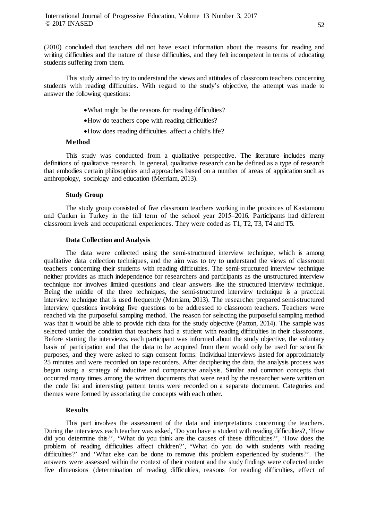(2010) concluded that teachers did not have exact information about the reasons for reading and writing difficulties and the nature of these difficulties, and they felt incompetent in terms of educating students suffering from them.

This study aimed to try to understand the views and attitudes of classroom teachers concerning students with reading difficulties. With regard to the study's objective, the attempt was made to answer the following questions:

- •What might be the reasons for reading difficulties?
- •How do teachers cope with reading difficulties?
- •How does reading difficulties affect a child's life?

### **Method**

This study was conducted from a qualitative perspective. The literature includes many definitions of qualitative research. In general, qualitative research can be defined as a type of research that embodies certain philosophies and approaches based on a number of areas of application such as anthropology, sociology and education (Merriam, 2013).

### **Study Group**

The study group consisted of five classroom teachers working in the provinces of Kastamonu and Çankırı in Turkey in the fall term of the school year 2015–2016. Participants had different classroom levels and occupational experiences. They were coded as T1, T2, T3, T4 and T5.

### **Data Collection and Analysis**

The data were collected using the semi-structured interview technique, which is among qualitative data collection techniques, and the aim was to try to understand the views of classroom teachers concerning their students with reading difficulties. The semi-structured interview technique neither provides as much independence for researchers and participants as the unstructured interview technique nor involves limited questions and clear answers like the structured interview technique. Being the middle of the three techniques, the semi-structured interview technique is a practical interview technique that is used frequently (Merriam, 2013). The researcher prepared semi-structured interview questions involving five questions to be addressed to classroom teachers. Teachers were reached via the purposeful sampling method. The reason for selecting the purposeful sampling method was that it would be able to provide rich data for the study objective (Patton, 2014). The sample was selected under the condition that teachers had a student with reading difficulties in their classrooms. Before starting the interviews, each participant was informed about the study objective, the voluntary basis of participation and that the data to be acquired from them would only be used for scientific purposes, and they were asked to sign consent forms. Individual interviews lasted for approximately 25 minutes and were recorded on tape recorders. After deciphering the data, the analysis process was begun using a strategy of inductive and comparative analysis. Similar and common concepts that occurred many times among the written documents that were read by the researcher were written on the code list and interesting pattern terms were recorded on a separate document. Categories and themes were formed by associating the concepts with each other.

### **Results**

This part involves the assessment of the data and interpretations concerning the teachers. During the interviews each teacher was asked, 'Do you have a student with reading difficulties?, 'How did you determine this?', **'**What do you think are the causes of these difficulties?', 'How does the problem of reading difficulties affect children?', **'**What do you do with students with reading difficulties?' and 'What else can be done to remove this problem experienced by students?'. The answers were assessed within the context of their content and the study findings were collected under five dimensions (determination of reading difficulties, reasons for reading difficulties, effect of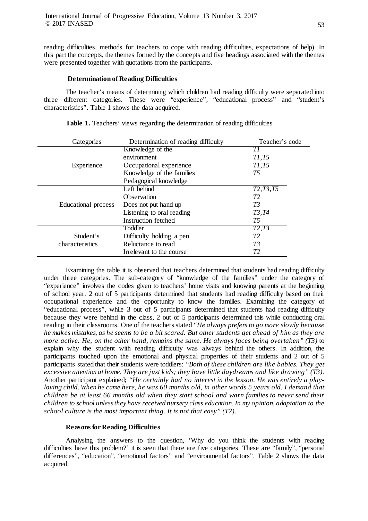reading difficulties, methods for teachers to cope with reading difficulties, expectations of help). In this part the concepts, the themes formed by the concepts and five headings associated with the themes were presented together with quotations from the participants.

### **Determination of Reading Difficulties**

The teacher's means of determining which children had reading difficulty were separated into three different categories. These were "experience", "educational process" and "student's characteristics". Table 1 shows the data acquired.

| Categories                   | Determination of reading difficulty | Teacher's code        |
|------------------------------|-------------------------------------|-----------------------|
| Experience                   | Knowledge of the                    | TΙ                    |
|                              | environment                         | T1,T5                 |
|                              | Occupational experience             | T1,T5                 |
|                              | Knowledge of the families           | T5                    |
|                              | Pedagogical knowledge               |                       |
| Educational process          | Left behind                         | $\overline{72,73,75}$ |
|                              | <b>Observation</b>                  | T2                    |
|                              | Does not put hand up                | T3                    |
|                              | Listening to oral reading           | T3, T4                |
|                              | Instruction fetched                 | T5                    |
| Student's<br>characteristics | Toddler                             | $\overline{T2,T3}$    |
|                              | Difficulty holding a pen            | T2                    |
|                              | Reluctance to read                  | T3                    |
|                              | Irrelevant to the course            | T <sub>2</sub>        |

| Table 1. Teachers' views regarding the determination of reading difficulties |  |
|------------------------------------------------------------------------------|--|
|------------------------------------------------------------------------------|--|

Examining the table it is observed that teachers determined that students had reading difficulty under three categories. The sub-category of "knowledge of the families" under the category of "experience" involves the codes given to teachers' home visits and knowing parents at the beginning of school year. 2 out of 5 participants determined that students had reading difficulty based on their occupational experience and the opportunity to know the families. Examining the category of "educational process", while 3 out of 5 participants determined that students had reading difficulty because they were behind in the class, 2 out of 5 participants determined this while conducting oral reading in their classrooms. One of the teachers stated *"He always prefers to go more slowly because he makes mistakes, as he seems to be a bit scared. But other students get ahead of him as they are more active. He, on the other hand, remains the same. He always faces being overtaken" (T3)* to explain why the student with reading difficulty was always behind the others. In addition, the participants touched upon the emotional and physical properties of their students and 2 out of 5 participants stated that their students were toddlers: *"Both of these children are like babies. They get excessive attention at home. They are just kids; they have little daydreams and like drawing" (T3)*. Another participant explained; *"He certainly had no interest in the lesson. He was entirely a playloving child. When he came here, he was 60 months old, in other words 5 years old. I demand that children be at least 66 months old when they start school and warn families to never send their children to school unless they have received nursery class education. In my opinion, adaptation to the school culture is the most important thing. It is not that easy" (T2)*.

# **Reasons for Reading Difficulties**

Analysing the answers to the question, 'Why do you think the students with reading difficulties have this problem?' it is seen that there are five categories. These are "family", "personal differences", "education", "emotional factors" and "environmental factors". Table 2 shows the data acquired.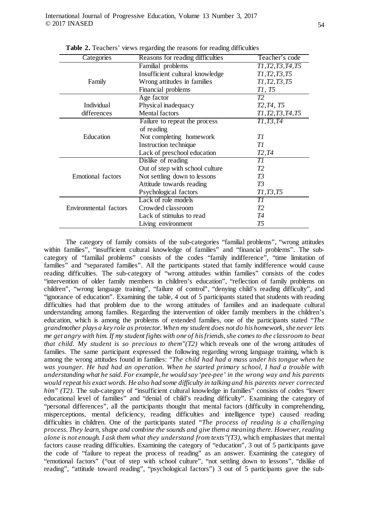| Categories            | Reasons for reading difficulties | Teacher's code                                   |
|-----------------------|----------------------------------|--------------------------------------------------|
|                       | Familial problems                | T1, T2, T3, T4, T5                               |
|                       | Insufficient cultural knowledge  | T1, T2, T3, T5                                   |
| Family                | Wrong attitudes in families      | T1, T2, T3, T5                                   |
|                       | Financial problems               | Tl, T5                                           |
|                       | Age factor                       | T2                                               |
| <b>Individual</b>     | Physical inadequacy              | T <sub>2</sub> , T <sub>4</sub> , T <sub>5</sub> |
| differences           | <b>Mental factors</b>            | T1, T2, T3, T4, T5                               |
|                       | Failure to repeat the process    | T1, T3, T4                                       |
|                       | of reading                       |                                                  |
| Education             | Not completing homework          | TI                                               |
|                       | Instruction technique            | TI                                               |
|                       | Lack of preschool education      | T2, T4                                           |
|                       | Dislike of reading               | ТI                                               |
|                       | Out of step with school culture  | T2                                               |
| Emotional factors     | Not settling down to lessons     | T3                                               |
|                       | Attitude towards reading         | T3                                               |
|                       | Psychological factors            | T1, T3, T5                                       |
|                       | Lack of role models              | TI                                               |
| Environmental factors | Crowded classroom                | T2                                               |
|                       | Lack of stimulus to read         | T4                                               |
|                       | Living environment               | T5                                               |

**Table 2.** Teachers' views regarding the reasons for reading difficulties

The category of family consists of the sub-categories "familial problems", "wrong attitudes within families", "insufficient cultural knowledge of families" and "financial problems". The subcategory of "familial problems" consists of the codes "family indifference", "time limitation of families" and "separated families". All the participants stated that family indifference would cause reading difficulties. The sub-category of "wrong attitudes within families" consists of the codes "intervention of older family members in children's education", "reflection of family problems on children", "wrong language training", "failure of control", "denying child's reading difficulty", and "ignorance of education". Examining the table, 4 out of 5 participants stated that students with reading difficulties had that problem due to the wrong attitudes of families and an inadequate cultural understanding among families. Regarding the intervention of older family members in the children's education, which is among the problems of extended families, one of the participants stated *"The grandmother plays a key role as protector. When my student does not do his homework, she never lets me get angry with him. If my student fights with one of his friends, she comes to the classroom to beat that child. My student is so precious to them"(T2)* which reveals one of the wrong attitudes of families. The same participant expressed the following regarding wrong language training, which is among the wrong attitudes found in families: *"The child had had a mass under his tongue when he was younger. He had had an operation. When he started primary school, I had a trouble with understanding what he said. For example, he would say 'pee-pee' in the wrong way and his parents would repeat his exact words. He also had some difficulty in talking and his parents never corrected him"* (T2). The sub-category of "insufficient cultural knowledge in families" consists of codes "lower educational level of families" and "denial of child's reading difficulty". Examining the category of "personal differences", all the participants thought that mental factors (difficulty in comprehending, misperceptions, mental deficiency, reading difficulties and intelligence type) caused reading difficulties in children. One of the participants stated *"The process of reading is a challenging process. They learn, shape and combine the sounds and give them a meaning there. However, reading alone is not enough. I ask them what they understand from texts"(T3)*, which emphasizes that mental factors cause reading difficulties. Examining the category of "education", 3 out of 5 participants gave the code of "failure to repeat the process of reading" as an answer. Examining the category of "emotional factors" ("out of step with school culture", "not settling down to lessons", "dislike of reading", "attitude toward reading", "psychological factors") 3 out of 5 participants gave the sub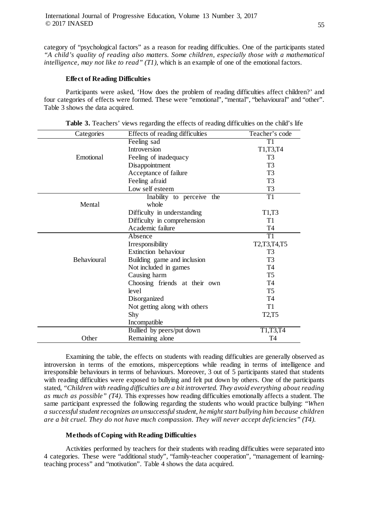category of "psychological factors" as a reason for reading difficulties. One of the participants stated *"A child's quality of reading also matters. Some children, especially those with a mathematical intelligence, may not like to read" (T1)*, which is an example of one of the emotional factors.

### **Effect of Reading Difficulties**

Participants were asked, 'How does the problem of reading difficulties affect children?' and four categories of effects were formed. These were "emotional", "mental", "behavioural" and "other". Table 3 shows the data acquired.

| Categories  | Effects of reading difficulties | Teacher's code                 |
|-------------|---------------------------------|--------------------------------|
|             | Feeling sad                     | T1                             |
|             | Introversion                    | T1,T3,T4                       |
| Emotional   | Feeling of inadequacy           | T <sub>3</sub>                 |
|             | Disappointment                  | T <sub>3</sub>                 |
|             | Acceptance of failure           | T <sub>3</sub>                 |
|             | Feeling afraid                  | T <sub>3</sub>                 |
|             | Low self esteem                 | T <sub>3</sub>                 |
|             | Inability to perceive the       | T1                             |
| Mental      | whole                           |                                |
|             | Difficulty in understanding     | T1,T3                          |
|             | Difficulty in comprehension     | T1                             |
|             | Academic failure                | T4                             |
|             | Absence                         | $\overline{T1}$                |
|             | Irresponsibility                | T2,T3,T4,T5                    |
|             | Extinction behaviour            | T <sub>3</sub>                 |
| Behavioural | Building game and inclusion     | T <sub>3</sub>                 |
|             | Not included in games           | T4                             |
|             | Causing harm                    | T <sub>5</sub>                 |
|             | Choosing friends at their own   | T <sub>4</sub>                 |
|             | level                           | T <sub>5</sub>                 |
|             | Disorganized                    | T4                             |
|             | Not getting along with others   | T <sub>1</sub>                 |
|             | Shy                             | T <sub>2</sub> ,T <sub>5</sub> |
|             | Incompatible                    |                                |
|             | Bullied by peers/put down       | T1,T3,T4                       |
| Other       | Remaining alone                 | T4                             |
|             |                                 |                                |

**Table 3.** Teachers' views regarding the effects of reading difficulties on the child's life

Examining the table, the effects on students with reading difficulties are generally observed as introversion in terms of the emotions, misperceptions while reading in terms of intelligence and irresponsible behaviours in terms of behaviours. Moreover, 3 out of 5 participants stated that students with reading difficulties were exposed to bullying and felt put down by others. One of the participants stated, *"Children with reading difficulties are a bit introverted. They avoid everything about reading as much as possible" (T4)*. This expresses how reading difficulties emotionally affects a student. The same participant expressed the following regarding the students who would practice bullying: *"When a successful student recognizes an unsuccessful student, he might start bullying him because children are a bit cruel. They do not have much compassion. They will never accept deficiencies" (T4).*

# **Methods of Coping with Reading Difficulties**

Activities performed by teachers for their students with reading difficulties were separated into 4 categories. These were "additional study", "family-teacher cooperation", "management of learningteaching process" and "motivation". Table 4 shows the data acquired.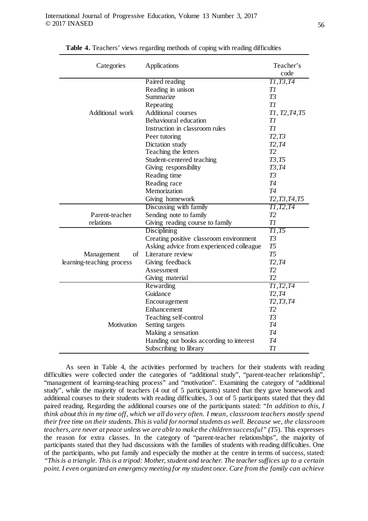| Categories                | Applications                             | Teacher's<br>code                                                 |
|---------------------------|------------------------------------------|-------------------------------------------------------------------|
|                           |                                          |                                                                   |
|                           | Paired reading                           | $\overline{TI,T3,T4}$                                             |
|                           | Reading in unison                        | TI<br>T3                                                          |
|                           | Summarize                                |                                                                   |
|                           | Repeating                                | T1                                                                |
| Additional work           | <b>Additional courses</b>                | T1, T2, T4, T5                                                    |
|                           | Behavioural education                    | TI                                                                |
|                           | Instruction in classroom rules           | T1                                                                |
|                           | Peer tutoring                            | T2,T3                                                             |
|                           | Dictation study                          | T2, T4                                                            |
|                           | Teaching the letters                     | T2                                                                |
|                           | Student-centered teaching                | T3,T5                                                             |
|                           | Giving responsibility                    | T3, T4                                                            |
|                           | Reading time                             | T3                                                                |
|                           | Reading race                             | T4                                                                |
|                           | Memorization                             | T4                                                                |
|                           | Giving homework                          | T <sub>2</sub> , T <sub>3</sub> , T <sub>4</sub> , T <sub>5</sub> |
|                           | Discussing with family                   | $\overline{T1, T2, T4}$                                           |
| Parent-teacher            | Sending note to family                   | T2                                                                |
| relations                 | Giving reading course to family          | T <sub>1</sub>                                                    |
|                           | Disciplining                             | T1,T5                                                             |
|                           | Creating positive classroom environment  | T3                                                                |
|                           | Asking advice from experienced colleague | T <sub>5</sub>                                                    |
| of<br>Management          | Literature review                        | T <sub>5</sub>                                                    |
| learning-teaching process | Giving feedback                          | T2, T4                                                            |
|                           | Assessment                               | T2                                                                |
|                           | Giving material                          | T2                                                                |
|                           | Rewarding                                | $\overline{T1, T2, T4}$                                           |
|                           | Guidance                                 | T2, T4                                                            |
|                           | Encouragement                            | T2, T3, T4                                                        |
|                           | Enhancement                              | T2                                                                |
|                           | Teaching self-control                    | T3                                                                |
| Motivation                | Setting targets                          | T4                                                                |
|                           | Making a sensation                       | T4                                                                |
|                           | Handing out books according to interest  | T4                                                                |
|                           | Subscribing to library                   | T1                                                                |

**Table 4.** Teachers' views regarding methods of coping with reading difficulties

As seen in Table 4, the activities performed by teachers for their students with reading difficulties were collected under the categories of "additional study", "parent-teacher relationship", "management of learning-teaching process" and "motivation". Examining the category of "additional study", while the majority of teachers (4 out of 5 participants) stated that they gave homework and additional courses to their students with reading difficulties, 3 out of 5 participants stated that they did paired reading. Regarding the additional courses one of the participants stated: *"In addition to this, I think about this in my time off, which we all do very often. I mean, classroom teachers mostly spend their free time on their students. This is valid for normal students as well. Because we, the classroom teachers, are never at peace unless we are able to make the children successful" (T5*). This expresses the reason for extra classes. In the category of "parent-teacher relationships", the majority of participants stated that they had discussions with the families of students with reading difficulties. One of the participants, who put family and especially the mother at the centre in terms of success, stated: *"This is a triangle. This is a tripod: Mother, student and teacher. The teacher suffices up to a certain point. I even organized an emergency meeting for my student once. Care from the family can achieve*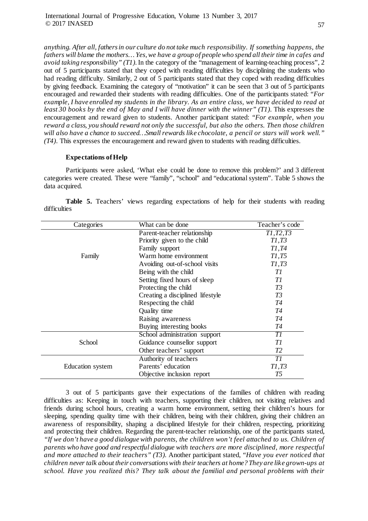*anything. After all, fathers in our culture do not take much responsibility. If something happens, the fathers will blame the mothers… Yes, we have a group of people who spend all their time in cafes and avoid taking responsibility" (T1).*In the category of the "management of learning-teaching process", 2 out of 5 participants stated that they coped with reading difficulties by disciplining the students who had reading difficulty. Similarly, 2 out of 5 participants stated that they coped with reading difficulties by giving feedback. Examining the category of "motivation" it can be seen that 3 out of 5 participants encouraged and rewarded their students with reading difficulties. One of the participants stated: *"For example, I have enrolled my students in the library. As an entire class, we have decided to read at least 30 books by the end of May and I will have dinner with the winner" (T1)*. This expresses the encouragement and reward given to students. Another participant stated: *"For example, when you reward a class, you should reward not only the successful, but also the others. Then those children will also have a chance to succeed…Small rewards like chocolate, a pencil or stars will work well." (T4)*. This expresses the encouragement and reward given to students with reading difficulties.

### **Expectations of Help**

Participants were asked, 'What else could be done to remove this problem?' and 3 different categories were created. These were "family", "school" and "educational system". Table 5 shows the data acquired.

| Categories       | What can be done                 | Teacher's code |
|------------------|----------------------------------|----------------|
|                  | Parent-teacher relationship      | T1, T2, T3     |
|                  | Priority given to the child      | T1,T3          |
|                  | Family support                   | T1, T4         |
| Family           | Warm home environment            | T1,T5          |
|                  | Avoiding out-of-school visits    | T1,T3          |
|                  | Being with the child             | Тl             |
|                  | Setting fixed hours of sleep     | TI             |
|                  | Protecting the child             | T3             |
|                  | Creating a disciplined lifestyle | T3             |
|                  | Respecting the child             | T4             |
|                  | Quality time                     | T4             |
|                  | Raising awareness                | T4             |
|                  | Buying interesting books         | T4             |
|                  | School administration support    | TI             |
| School           | Guidance counsellor support      | TI             |
|                  | Other teachers' support          | T2             |
|                  | Authority of teachers            | TI             |
| Education system | Parents' education               | T1,T3          |
|                  | Objective inclusion report       | T5             |

**Table 5.** Teachers' views regarding expectations of help for their students with reading difficulties

3 out of 5 participants gave their expectations of the families of children with reading difficulties as: Keeping in touch with teachers, supporting their children, not visiting relatives and friends during school hours, creating a warm home environment, setting their children's hours for sleeping, spending quality time with their children, being with their children, giving their children an awareness of responsibility, shaping a disciplined lifestyle for their children, respecting, prioritizing and protecting their children. Regarding the parent-teacher relationship, one of the participants stated, *"If we don't have a good dialogue with parents, the children won't feel attached to us. Children of parents who have good and respectful dialogue with teachers are more disciplined, more respectful and more attached to their teachers" (T3).* Another participant stated, *"Have you ever noticed that children never talk about their conversations with their teachers at home? They are like grown-ups at school. Have you realized this? They talk about the familial and personal problems with their*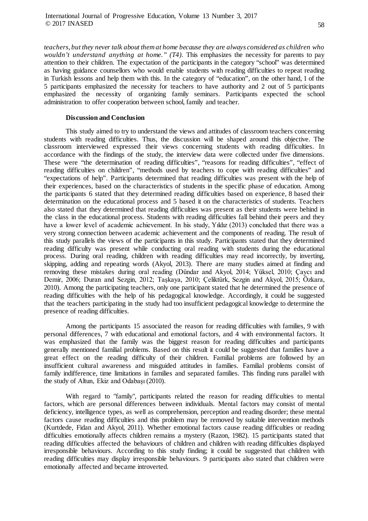*teachers, but they never talk about them at home because they are always considered as children who wouldn't understand anything at home." (T4)*. This emphasizes the necessity for parents to pay attention to their children. The expectation of the participants in the category "school" was determined as having guidance counsellors who would enable students with reading difficulties to repeat reading in Turkish lessons and help them with this. In the category of "education", on the other hand, 1 of the 5 participants emphasized the necessity for teachers to have authority and 2 out of 5 participants emphasized the necessity of organizing family seminars. Participants expected the school administration to offer cooperation between school, family and teacher.

#### **Discussion and Conclusion**

This study aimed to try to understand the views and attitudes of classroom teachers concerning students with reading difficulties. Thus, the discussion will be shaped around this objective. The classroom interviewed expressed their views concerning students with reading difficulties. In accordance with the findings of the study, the interview data were collected under five dimensions. These were "the determination of reading difficulties", "reasons for reading difficulties", "effect of reading difficulties on children", "methods used by teachers to cope with reading difficulties" and "expectations of help". Participants determined that reading difficulties was present with the help of their experiences, based on the characteristics of students in the specific phase of education. Among the participants 6 stated that they determined reading difficulties based on experience, 8 based their determination on the educational process and 5 based it on the characteristics of students. Teachers also stated that they determined that reading difficulties was present as their students were behind in the class in the educational process. Students with reading difficulties fall behind their peers and they have a lower level of academic achievement. In his study, Yıldız (2013) concluded that there was a very strong connection between academic achievement and the components of reading. The result of this study parallels the views of the participants in this study. Participants stated that they determined reading difficulty was present while conducting oral reading with students during the educational process. During oral reading, children with reading difficulties may read incorrectly, by inverting, skipping, adding and repeating words (Akyol, 2013). There are many studies aimed at finding and removing these mistakes during oral reading (Dündar and Akyol, 2014; Yüksel, 2010; Çaycı and Demir, 2006; Duran and Sezgin, 2012; Taşkaya, 2010; Çeliktürk, Sezgin and Akyol, 2015; Özkara, 2010). Among the participating teachers, only one participant stated that he determined the presence of reading difficulties with the help of his pedagogical knowledge. Accordingly, it could be suggested that the teachers participating in the study had too insufficient pedagogical knowledge to determine the presence of reading difficulties.

Among the participants 15 associated the reason for reading difficulties with families, 9 with personal differences, 7 with educational and emotional factors, and 4 with environmental factors. It was emphasized that the family was the biggest reason for reading difficulties and participants generally mentioned familial problems. Based on this result it could be suggested that families have a great effect on the reading difficulty of their children. Familial problems are followed by an insufficient cultural awareness and misguided attitudes in families. Familial problems consist of family indifference, time limitations in families and separated families. This finding runs parallel with the study of Altun, Ekiz and Odabaşı (2010).

With regard to "family", participants related the reason for reading difficulties to mental factors, which are personal differences between individuals. Mental factors may consist of mental deficiency, intelligence types, as well as comprehension, perception and reading disorder; these mental factors cause reading difficulties and this problem may be removed by suitable intervention methods (Kurtdede, Fidan and Akyol, 2011). Whether emotional factors cause reading difficulties or reading difficulties emotionally affects children remains a mystery (Razon, 1982). 15 participants stated that reading difficulties affected the behaviours of children and children with reading difficulties displayed irresponsible behaviours. According to this study finding; it could be suggested that children with reading difficulties may display irresponsible behaviours. 9 participants also stated that children were emotionally affected and became introverted.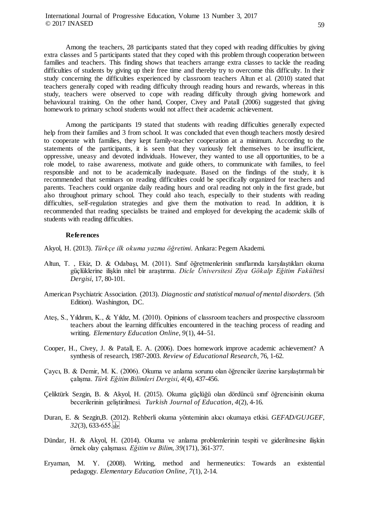Among the teachers, 28 participants stated that they coped with reading difficulties by giving extra classes and 5 participants stated that they coped with this problem through cooperation between families and teachers. This finding shows that teachers arrange extra classes to tackle the reading difficulties of students by giving up their free time and thereby try to overcome this difficulty. In their study concerning the difficulties experienced by classroom teachers Altun et al. (2010) stated that teachers generally coped with reading difficulty through reading hours and rewards, whereas in this study, teachers were observed to cope with reading difficulty through giving homework and behavioural training. On the other hand, Cooper, Civey and Patall (2006) suggested that giving homework to primary school students would not affect their academic achievement.

Among the participants 19 stated that students with reading difficulties generally expected help from their families and 3 from school. It was concluded that even though teachers mostly desired to cooperate with families, they kept family-teacher cooperation at a minimum. According to the statements of the participants, it is seen that they variously felt themselves to be insufficient, oppressive, uneasy and devoted individuals. However, they wanted to use all opportunities, to be a role model, to raise awareness, motivate and guide others, to communicate with families, to feel responsible and not to be academically inadequate. Based on the findings of the study, it is recommended that seminars on reading difficulties could be specifically organized for teachers and parents. Teachers could organize daily reading hours and oral reading not only in the first grade, but also throughout primary school. They could also teach, especially to their students with reading difficulties, self-regulation strategies and give them the motivation to read. In addition, it is recommended that reading specialists be trained and employed for developing the academic skills of students with reading difficulties.

#### **References**

Akyol, H. (2013). *Türkçe ilk okuma yazma öğretimi*. Ankara: Pegem Akademi.

- Altun, T. , Ekiz, D. & Odabaşı, M. (2011). Sınıf öğretmenlerı̇nı̇n sınıflarında karşılaştıkları okuma güçlüklerı̇ne ı̇lı̇şkı̇n nı̇tel bı̇r araştırma. *Dicle Üniversitesi Ziya Gökalp Eğitim Fakültesi Dergisi*, 17, 80-101.
- American Psychiatric Association. (2013). *Diagnostic and statistical manual of mental disorders.* (5th Edition). Washington, DC.
- Ateş, S., Yıldırım, K., & Yıldız, M. (2010). Opinions of classroom teachers and prospective classroom teachers about the learning difficulties encountered in the teaching process of reading and writing. *Elementary Education Online*, *9*(1), 44–51.
- Cooper, H., Civey, J. & Patall, E. A. (2006). Does homework improve academic achievement? A synthesis of research, 1987-2003. *Review of Educational Research*, 76, 1-62.
- Çaycı, B. & Demir, M. K. (2006). Okuma ve anlama sorunu olan öğrenciler üzerine karşılaştırmalı bir çalışma. *Türk Eğitim Bilimleri Dergisi*, *4*(4), 437-456.
- Çeliktürk Sezgin, B. & Akyol, H. (2015). Okuma güçlüğü olan dördüncü sınıf öğrencisinin okuma becerilerinin geliştirilmesi. *Turkish Journal of Education*, *4*(2), 4-16.
- Duran, E. & Sezgin,B. (2012). Rehberli okuma yönteminin akıcı okumaya etkisi. *GEFAD/GUJGEF*, *32*(3), 633-655.
- Dündar, H. & Akyol, H. (2014). Okuma ve anlama problemlerinin tespiti ve giderilmesine ı̇lişkin örnek olay çalışması. *Eğitim ve Bilim*, *39*(171), 361-377.
- Eryaman, M. Y. (2008). Writing, method and hermeneutics: Towards an existential pedagogy. *Elementary Education Online, 7*(1), 2-14.